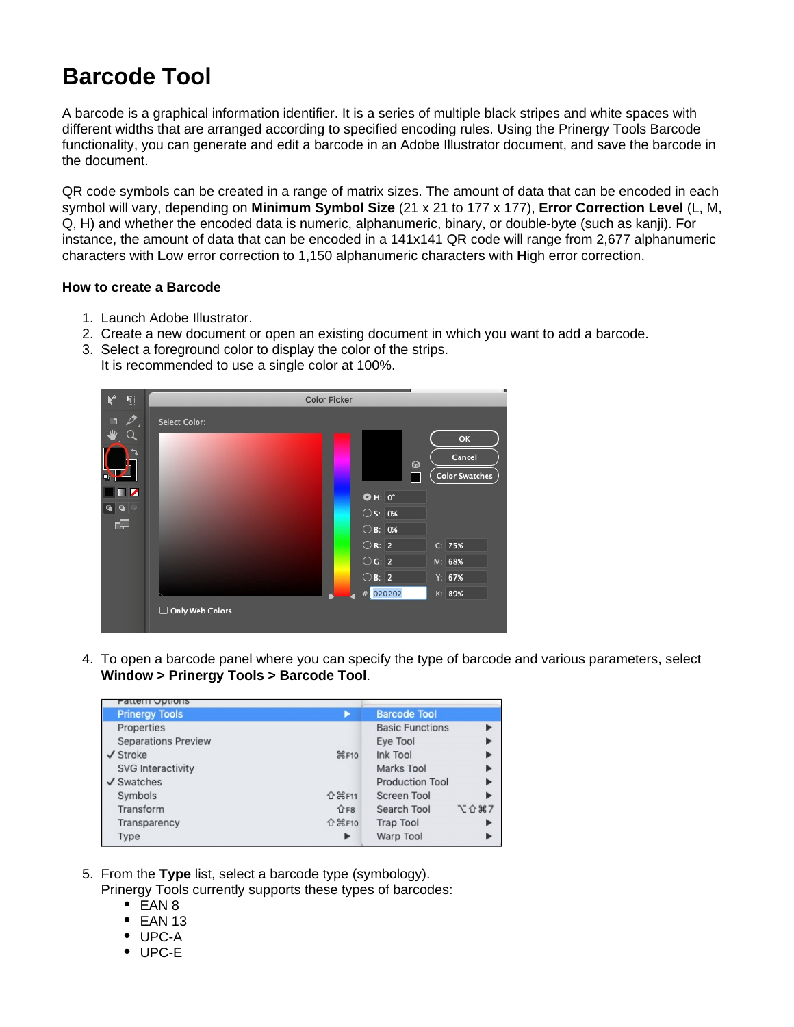## **Barcode Tool**

A barcode is a graphical information identifier. It is a series of multiple black stripes and white spaces with different widths that are arranged according to specified encoding rules. Using the Prinergy Tools Barcode functionality, you can generate and edit a barcode in an Adobe Illustrator document, and save the barcode in the document.

QR code symbols can be created in a range of matrix sizes. The amount of data that can be encoded in each symbol will vary, depending on **Minimum Symbol Size** (21 x 21 to 177 x 177), **Error Correction Level** (L, M, Q, H) and whether the encoded data is numeric, alphanumeric, binary, or double-byte (such as kanji). For instance, the amount of data that can be encoded in a 141x141 QR code will range from 2,677 alphanumeric characters with **L**ow error correction to 1,150 alphanumeric characters with **H**igh error correction.

## **How to create a Barcode**

- 1. Launch Adobe Illustrator.
- 2. Create a new document or open an existing document in which you want to add a barcode.
- 3. Select a foreground color to display the color of the strips. It is recommended to use a single color at 100%.



4. To open a barcode panel where you can specify the type of barcode and various parameters, select **Window > Prinergy Tools > Barcode Tool**.

| Pattern Options            |                          |                        |      |
|----------------------------|--------------------------|------------------------|------|
| <b>Prinergy Tools</b>      |                          | <b>Barcode Tool</b>    |      |
| Properties                 |                          | <b>Basic Functions</b> |      |
| <b>Separations Preview</b> |                          | Eye Tool               |      |
| $\checkmark$ Stroke        | <b>HF10</b>              | Ink Tool               |      |
| SVG Interactivity          |                          | Marks Tool             |      |
| $\checkmark$ Swatches      |                          | <b>Production Tool</b> |      |
| Symbols                    | <b>介</b> 米F11            | <b>Screen Tool</b>     |      |
| Transform                  | $\hat{L}$ F <sub>8</sub> | Search Tool            | 工介第7 |
| Transparency               | <b>介</b> 米F10            | <b>Trap Tool</b>       |      |
| Type                       | ▶                        | Warp Tool              |      |

5. From the **Type** list, select a barcode type (symbology).

Prinergy Tools currently supports these types of barcodes:

- EAN 8
- $\bullet$  EAN 13
- UPC-A
- UPC-E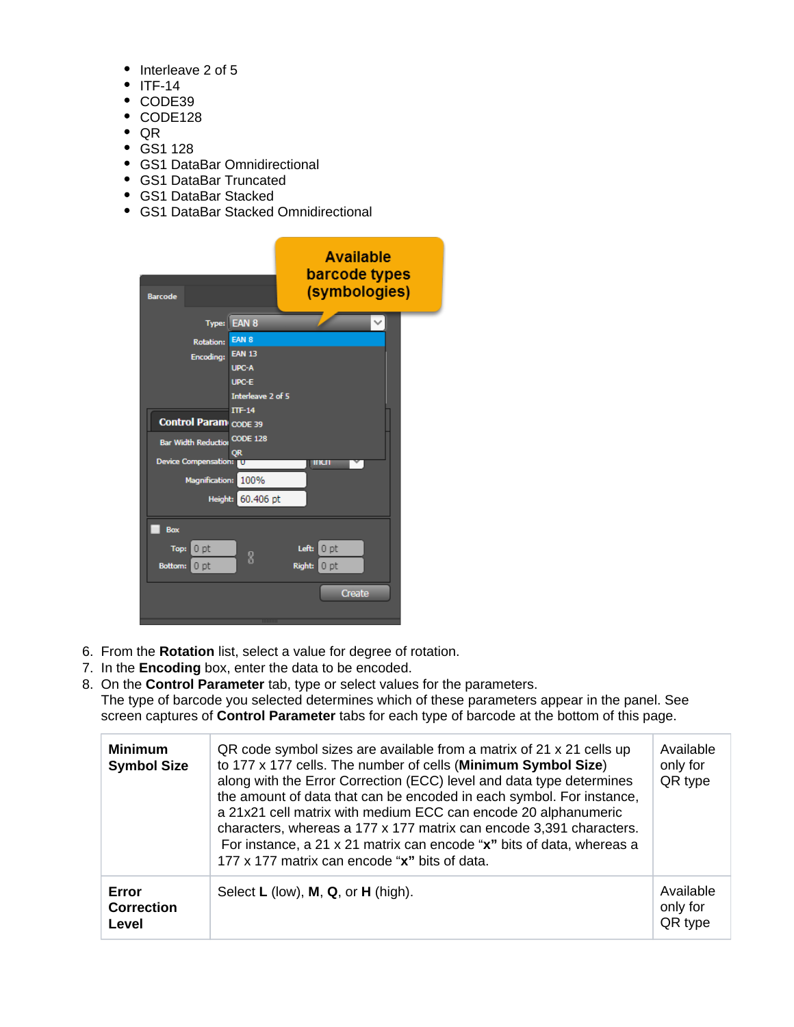- Interleave 2 of 5
- $\bullet$  ITF-14
- CODE39
- CODE128
- QR
- GS1 128
- GS1 DataBar Omnidirectional
- GS1 DataBar Truncated
- GS1 DataBar Stacked
- GS1 DataBar Stacked Omnidirectional



- 6. From the **Rotation** list, select a value for degree of rotation.
- 7. In the **Encoding** box, enter the data to be encoded.
- 8. On the **Control Parameter** tab, type or select values for the parameters.

The type of barcode you selected determines which of these parameters appear in the panel. See screen captures of **Control Parameter** tabs for each type of barcode at the bottom of this page.

| <b>Minimum</b><br><b>Symbol Size</b> | QR code symbol sizes are available from a matrix of 21 x 21 cells up<br>to 177 x 177 cells. The number of cells (Minimum Symbol Size)<br>along with the Error Correction (ECC) level and data type determines<br>the amount of data that can be encoded in each symbol. For instance,<br>a 21x21 cell matrix with medium ECC can encode 20 alphanumeric<br>characters, whereas a 177 x 177 matrix can encode 3,391 characters.<br>For instance, a 21 x 21 matrix can encode "x" bits of data, whereas a<br>177 x 177 matrix can encode "x" bits of data. |                                  |
|--------------------------------------|----------------------------------------------------------------------------------------------------------------------------------------------------------------------------------------------------------------------------------------------------------------------------------------------------------------------------------------------------------------------------------------------------------------------------------------------------------------------------------------------------------------------------------------------------------|----------------------------------|
| Error<br><b>Correction</b><br>Level  | Select $L$ (low), $M$ , $Q$ , or $H$ (high).                                                                                                                                                                                                                                                                                                                                                                                                                                                                                                             | Available<br>only for<br>QR type |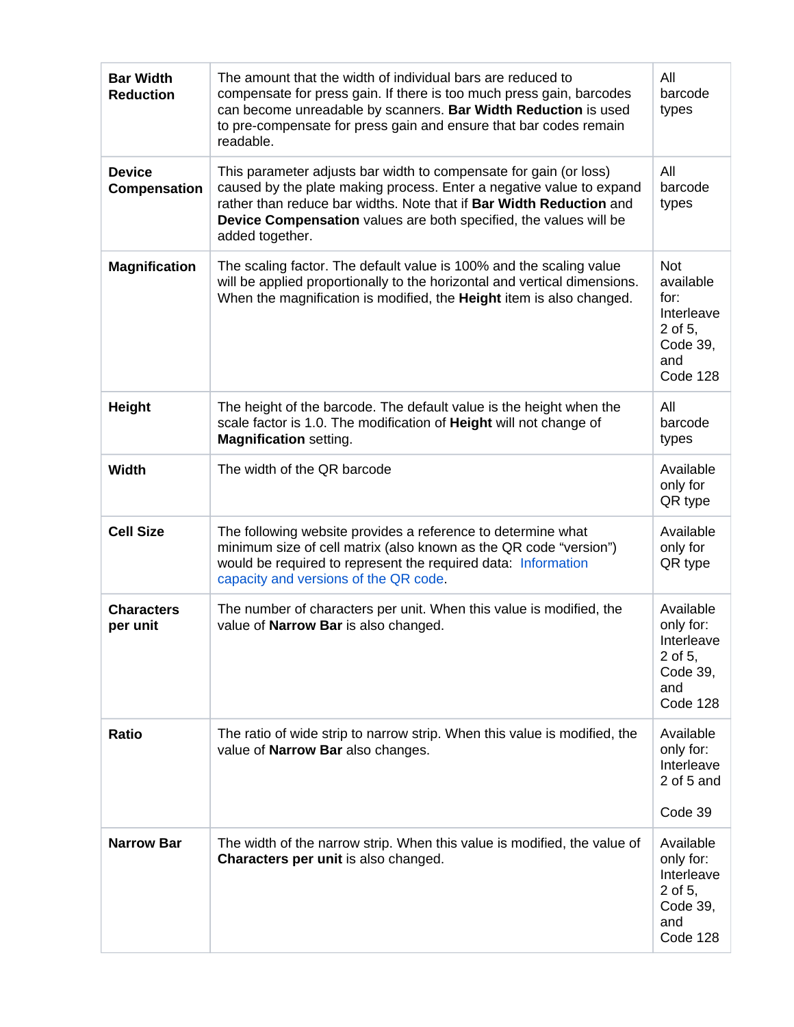| <b>Bar Width</b><br><b>Reduction</b> | All<br>The amount that the width of individual bars are reduced to<br>barcode<br>compensate for press gain. If there is too much press gain, barcodes<br>can become unreadable by scanners. Bar Width Reduction is used<br>types<br>to pre-compensate for press gain and ensure that bar codes remain<br>readable.                  |                                                                                |  |
|--------------------------------------|-------------------------------------------------------------------------------------------------------------------------------------------------------------------------------------------------------------------------------------------------------------------------------------------------------------------------------------|--------------------------------------------------------------------------------|--|
| <b>Device</b><br>Compensation        | All<br>This parameter adjusts bar width to compensate for gain (or loss)<br>caused by the plate making process. Enter a negative value to expand<br>barcode<br>rather than reduce bar widths. Note that if Bar Width Reduction and<br>types<br>Device Compensation values are both specified, the values will be<br>added together. |                                                                                |  |
| <b>Magnification</b>                 | The scaling factor. The default value is 100% and the scaling value<br>will be applied proportionally to the horizontal and vertical dimensions.<br>When the magnification is modified, the Height item is also changed.                                                                                                            |                                                                                |  |
| Height                               | The height of the barcode. The default value is the height when the<br>scale factor is 1.0. The modification of Height will not change of<br><b>Magnification setting.</b>                                                                                                                                                          | All<br>barcode<br>types                                                        |  |
| <b>Width</b>                         | The width of the QR barcode                                                                                                                                                                                                                                                                                                         | Available<br>only for<br>QR type                                               |  |
| <b>Cell Size</b>                     | The following website provides a reference to determine what<br>Available<br>minimum size of cell matrix (also known as the QR code "version")<br>only for<br>would be required to represent the required data: Information<br>QR type<br>capacity and versions of the QR code.                                                     |                                                                                |  |
| <b>Characters</b><br>per unit        | The number of characters per unit. When this value is modified, the<br>value of Narrow Bar is also changed.                                                                                                                                                                                                                         | Available<br>only for:<br>Interleave<br>2 of 5,<br>Code 39,<br>and<br>Code 128 |  |
| <b>Ratio</b>                         | The ratio of wide strip to narrow strip. When this value is modified, the<br>value of Narrow Bar also changes.                                                                                                                                                                                                                      |                                                                                |  |
|                                      |                                                                                                                                                                                                                                                                                                                                     | Code 39                                                                        |  |
| <b>Narrow Bar</b>                    | The width of the narrow strip. When this value is modified, the value of<br>Characters per unit is also changed.                                                                                                                                                                                                                    | Available<br>only for:<br>Interleave<br>2 of 5,<br>Code 39,<br>and<br>Code 128 |  |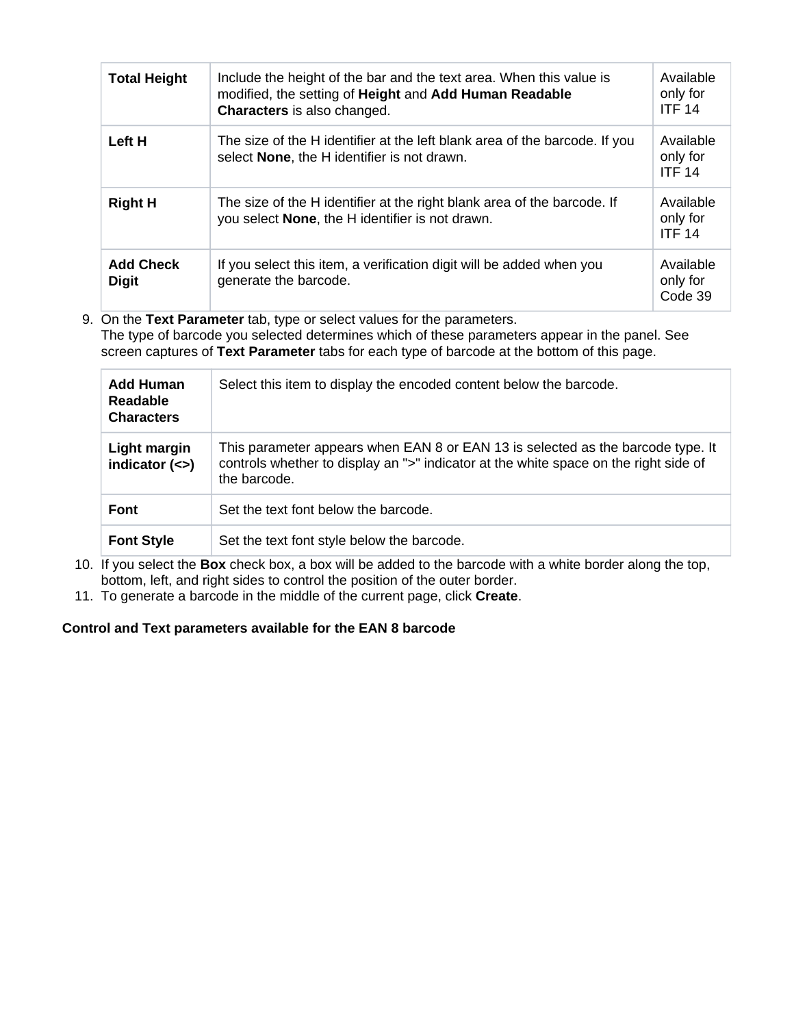| <b>Total Height</b>              | Include the height of the bar and the text area. When this value is<br>modified, the setting of Height and Add Human Readable<br>Characters is also changed. | Available<br>only for<br><b>ITF 14</b> |
|----------------------------------|--------------------------------------------------------------------------------------------------------------------------------------------------------------|----------------------------------------|
| Left H                           | The size of the H identifier at the left blank area of the barcode. If you<br>select <b>None</b> , the H identifier is not drawn.                            | Available<br>only for<br><b>ITF 14</b> |
| <b>Right H</b>                   | The size of the H identifier at the right blank area of the barcode. If<br>you select <b>None</b> , the H identifier is not drawn.                           | Available<br>only for<br><b>ITF 14</b> |
| <b>Add Check</b><br><b>Digit</b> | If you select this item, a verification digit will be added when you<br>generate the barcode.                                                                | Available<br>only for<br>Code 39       |

9. On the **Text Parameter** tab, type or select values for the parameters. The type of barcode you selected determines which of these parameters appear in the panel. See screen captures of **Text Parameter** tabs for each type of barcode at the bottom of this page.

| Add Human<br><b>Readable</b><br><b>Characters</b> | Select this item to display the encoded content below the barcode.                                                                                                                      |
|---------------------------------------------------|-----------------------------------------------------------------------------------------------------------------------------------------------------------------------------------------|
| Light margin<br>indicator $(\le)$                 | This parameter appears when EAN 8 or EAN 13 is selected as the barcode type. It<br>controls whether to display an ">" indicator at the white space on the right side of<br>the barcode. |
| <b>Font</b>                                       | Set the text font below the barcode.                                                                                                                                                    |
| <b>Font Style</b>                                 | Set the text font style below the barcode.                                                                                                                                              |

- 10. If you select the **Box** check box, a box will be added to the barcode with a white border along the top, bottom, left, and right sides to control the position of the outer border.
- 11. To generate a barcode in the middle of the current page, click **Create**.

## **Control and Text parameters available for the EAN 8 barcode**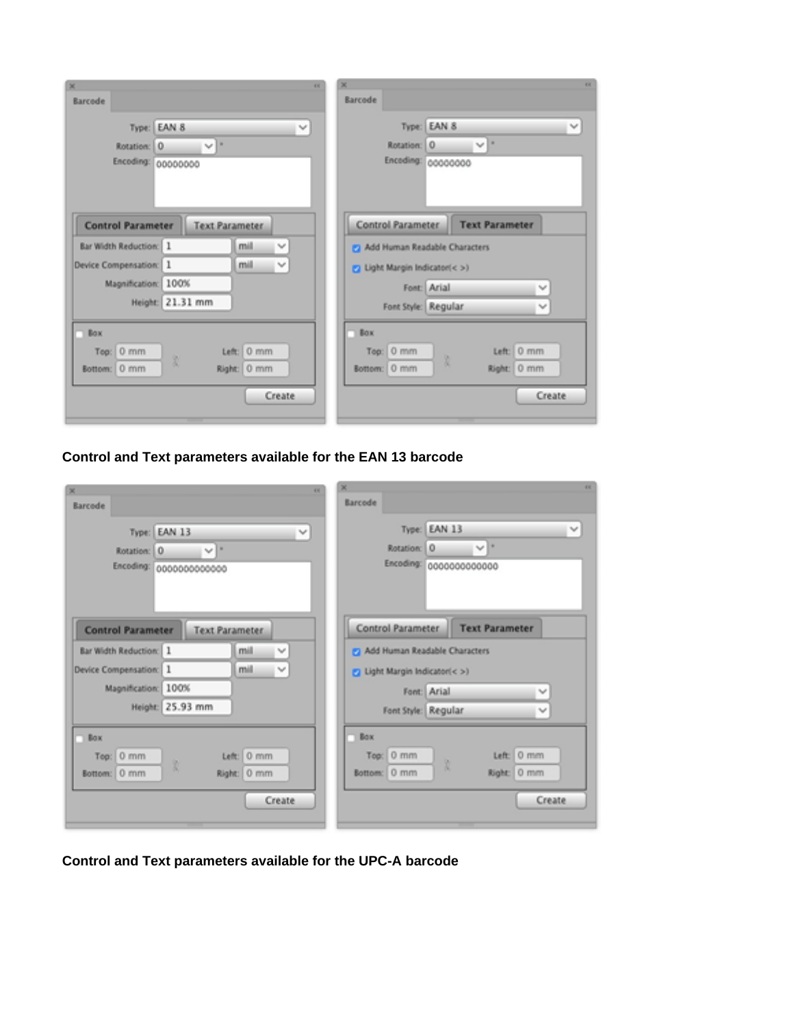| 48<br>×<br>Barcode                                                                     | 48<br>冨<br>Barcode                                                                       |
|----------------------------------------------------------------------------------------|------------------------------------------------------------------------------------------|
| EAN 8<br>Type:<br>v<br>٠<br>Rotation: 0<br>$\mathbf{v}^{\prime}$<br>Encoding: 00000000 | EAN 8<br>$\tau_{\rm eff}$<br>Type:<br>Ιü<br>0<br>net.<br>Rotation:<br>Enceding: 00000000 |
| <b>Control Parameter</b><br><b>Text Parameter</b>                                      | Control Parameter<br><b>Text Parameter</b>                                               |
| <b>Bar Width Reduction:</b> 1<br>mill<br>v                                             | 2 Add Human Readable Characters                                                          |
| mil<br>Device Compensation: 1<br>$\mathcal{A}$                                         | 2 Light Margin Indicator(< >)                                                            |
| Magnification: 100%                                                                    | Font: Arial<br>$\mathcal{M}$                                                             |
| Height: 21.31 mm                                                                       | Font Style: Regular<br>No.                                                               |
| <b>Box</b><br>Left: 0 mm<br>Top: 0 mm<br>8<br>Right: 0 mm<br>Bottom: 0 mm<br>Create    | <b>Box</b><br>Left: 0 mm<br>0 mm<br>Top:<br>X<br>Right: 0 mm<br>Bottom: 0 mm<br>Create   |

**Control and Text parameters available for the EAN 13 barcode**

|                               | 48                      |                               |                                      | 48           |
|-------------------------------|-------------------------|-------------------------------|--------------------------------------|--------------|
| Barcode                       |                         | Barcode                       |                                      |              |
| Type: EAN 13                  | ٧                       |                               | Type: EAN 13                         | $\checkmark$ |
| Rotation: 0                   | $\vee$ $\overline{ }$   | <b>Rotation:</b>              | $\vee$ $\mathbb{R}$<br>l o           |              |
|                               | Encoding: 0000000000000 |                               | Encoding: 0000000000000              |              |
| <b>Control Parameter</b>      | <b>Text Parameter</b>   | Control Parameter             | <b>Text Parameter</b>                |              |
| <b>Bar Width Reduction:</b> 1 | mill<br>$\mathcal{A}$   | Add Human Readable Characters |                                      |              |
| Device Compensation: 1        | mill<br>$\mathcal{A}$   | 2 Light Margin Indicator(< >) |                                      |              |
| Magnification: 100%           |                         |                               | Font: Arial<br>$\checkmark$          |              |
|                               | Height: 25.93 mm        |                               | Font Style: Regular<br>$\mathcal{A}$ |              |
| Box<br>m                      |                         | Box<br>п                      |                                      |              |
| Top: 0 mm                     | Left: 0 mm              | Top: 0 mm                     | Left: 0 mm                           |              |
| Bottom: 0 mm                  | 10<br>Right: 0 mm       | Bottom: 0 mm                  | Right: 0 mm                          |              |
|                               |                         |                               |                                      |              |
|                               | Create                  |                               | Create                               |              |
|                               |                         |                               |                                      |              |

**Control and Text parameters available for the UPC-A barcode**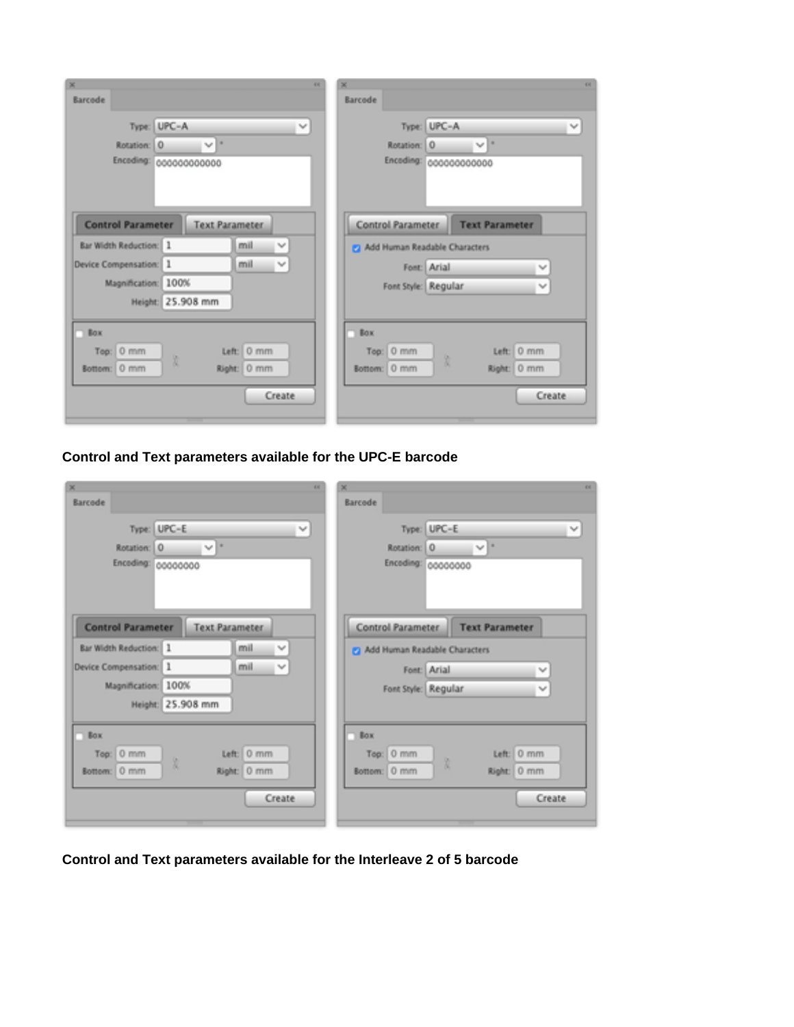| 44                                                                                      | 嵩<br>48                                                                                            |
|-----------------------------------------------------------------------------------------|----------------------------------------------------------------------------------------------------|
| Barcode                                                                                 | <b>Barcode</b>                                                                                     |
| UPC-A<br>Type:<br>v<br>٠<br>Rotation:<br>10<br>$\checkmark$<br>Enceding: 000000000000   | Type: UPC-A<br>$\tau_{\rm eff}$<br>lш<br>Rotation: 0<br>$\eta_{\rm eff}$<br>Enceding: 000000000000 |
| <b>Control Parameter</b><br><b>Text Parameter</b><br>mil<br>Bar Width Reduction: 1<br>v | <b>Control Parameter</b><br><b>Text Parameter</b>                                                  |
| Device Compensation: 1<br>mil<br>$\checkmark$                                           | 2 Add Human Readable Characters                                                                    |
| Magnification:<br>100%                                                                  | Font: Arial<br>$\mathcal{H}_{\mathcal{C}}$                                                         |
| Height: 25.908 mm                                                                       | Font Style: Regular<br>$\gamma_{\rm eff}$                                                          |
| $\Box$ Box<br>Left: 0 mm<br>Top: 0 mm<br>Bottom: 0 mm<br>Right: 0 mm<br>Create          | Box.<br>Left: 0 mm<br>Top: 0 mm<br>X<br>Right: 0 mm<br>Bottom: 0 mm<br>Create                      |

**Control and Text parameters available for the UPC-E barcode**

| ×<br>Barcode                                       | 496                          | 嵩<br>68<br>Barcode                                                                              |
|----------------------------------------------------|------------------------------|-------------------------------------------------------------------------------------------------|
| Type: UPC-E<br>Rotation: 0<br>Enceding: 00000000   | $\mathcal{A}$<br>$ v ^*$     | Type: UPC-E<br>$\tau_{\rm eff}$<br>m<br>Rotation: 0<br>$\gamma_{\rm eff}$<br>Enceding: 00000000 |
| <b>Control Parameter</b><br>Bar Width Reduction: 1 | <b>Text Parameter</b><br>mil | Control Parameter<br><b>Text Parameter</b>                                                      |
| Device Compensation: 1                             | v<br>mil<br>$\checkmark$     | 2 Add Human Readable Characters                                                                 |
|                                                    |                              | Font: Arial<br>$\mathcal{H}_{\mathcal{C}}$                                                      |
| Magnification: 100%                                | Height: 25.908 mm            | Font Style: Regular<br>W                                                                        |
| $\Box$ Box                                         |                              | <b>Box</b>                                                                                      |
| Top: 0 mm                                          | Left: 0 mm                   | Left: 0 mm<br>Top: 0 mm                                                                         |
| Bottom: 0 mm                                       | Right: 0 mm                  | Bottom: 0 mm<br>Right: 0 mm                                                                     |
|                                                    | Create                       | Create                                                                                          |
|                                                    |                              |                                                                                                 |

**Control and Text parameters available for the Interleave 2 of 5 barcode**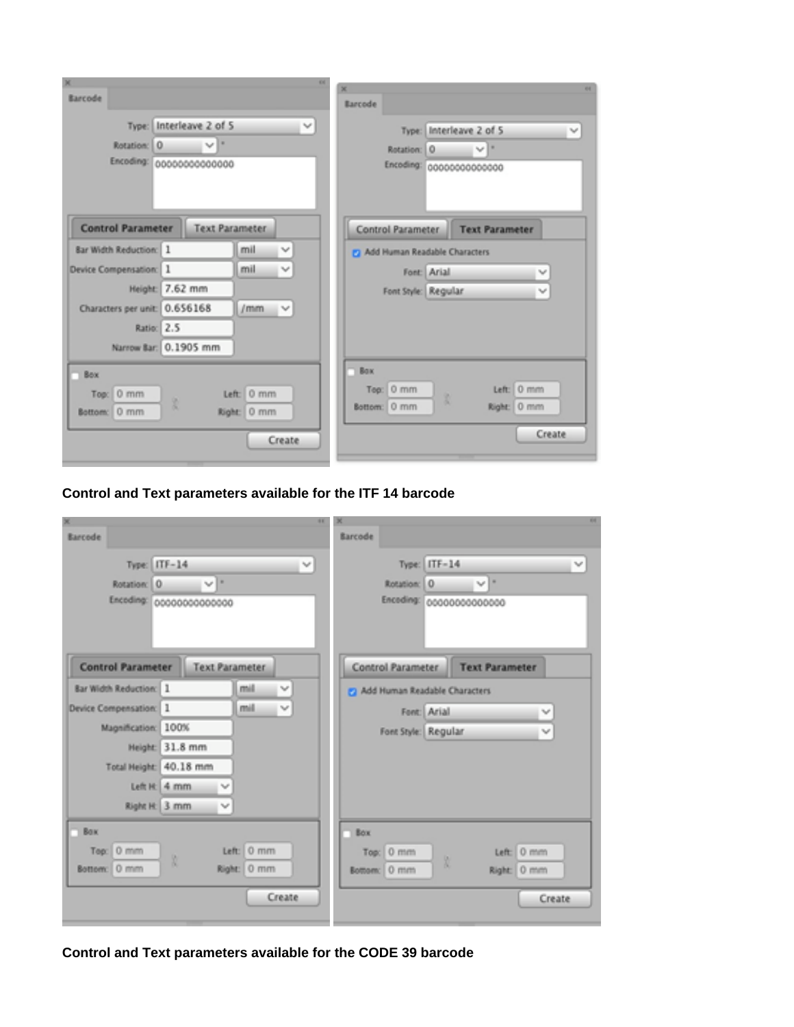| ×<br>68                                                         | 44<br><b>SE</b>                             |
|-----------------------------------------------------------------|---------------------------------------------|
| Barcode                                                         | Barcode                                     |
| Type: Interleave 2 of 5<br>$\mathcal{Q}^{\mu}$                  | Interleave 2 of 5<br>Type:<br>$\mathcal{M}$ |
| $\gamma_{\rm QF}$ .<br>Rotation: 0                              | Apr 18<br>0<br>Rotation:                    |
| Encoding: 00000000000000                                        | Encoding: 00000000000000                    |
|                                                                 |                                             |
| <b>Control Parameter</b><br><b>Text Parameter</b>               | Control Parameter<br><b>Text Parameter</b>  |
| <b>Bar Width Reduction: 1</b><br>mil<br>$\gamma_{\rm eff}$      | Add Human Readable Characters               |
| 1<br>mil<br>$\mathcal{H}_{\mathcal{M}}$<br>Device Compensation: | Font: Arial<br>$\mathcal{G}$                |
| 7.62 mm<br><b>Height:</b>                                       | Font Style: Regular<br>$\mathcal{M}$        |
| Characters per unit: 0.656168<br>/mm<br>$\gamma_{\rm eff}$      |                                             |
| Ratio: 2.5                                                      |                                             |
| Nanrow Bar: 0.1905 mm                                           |                                             |
| <b>Bax</b>                                                      | <b>Box</b>                                  |
| Left: 0 mm<br>Top: 0 mm                                         | $0$ mm<br>Left: 0 mm<br>Tee:<br>š           |
| 篙<br>Bottom: 0 mm<br>kight: 0 mm                                | Bottom: 0 mm<br>Right: 0 mm                 |
| Create                                                          | Create                                      |
|                                                                 |                                             |

**Control and Text parameters available for the ITF 14 barcode**

| 88<br>冕                                                    | 図<br>啊                                                         |
|------------------------------------------------------------|----------------------------------------------------------------|
| <b>Barcode</b>                                             | Barcode                                                        |
| $ITF-14$<br>$\mathcal{M}$<br>Type:                         | $\Pi$ F=14<br>Type:<br>$\gamma_0\rho$                          |
| sa B<br>i0.<br>Rotation:                                   | $\eta_{\rm eff}$ =<br>lo.<br>Rotation:                         |
| Encoding:<br>00000000000000                                | Encoding:<br>00000000000000                                    |
| <b>Control Parameter</b><br><b>Text Parameter</b>          | <b>Text Parameter</b><br><b>Control Parameter</b>              |
| Bar Width Reduction: 1<br>mill<br>$\lambda_{\rm B} \theta$ | [7] Add Human Readable Characters                              |
| mill<br>1<br>$\eta_{\rm eff}$<br>Device Compensation:      | Font: Arial<br>$\mathcal{H}_{\text{int}}(\mathcal{C})$         |
| 100%<br>Magnification:                                     | Font Style: Regular<br>$\mathcal{H}_{\text{tot}}(\mathcal{C})$ |
| Height: 31.8 mm                                            |                                                                |
| <b>Total Height:</b><br>40.18 mm                           |                                                                |
| Left H: 4 mm<br>W                                          |                                                                |
| Right H: 3 mm<br>$\mathcal{H}_{\mathrm{eff}}(t)$           |                                                                |
| <b>Box</b>                                                 | Box                                                            |
| 0 mm<br>Left: 0 mm<br>Tee:                                 | Top: 0 mm<br>Left: 0 mm                                        |
| R<br>Right: 0 mm<br>Bottom: 0 mm                           | R<br>Right: 0 mm<br>Bottom: 0 mm                               |
| Create                                                     | Create                                                         |
|                                                            |                                                                |

**Control and Text parameters available for the CODE 39 barcode**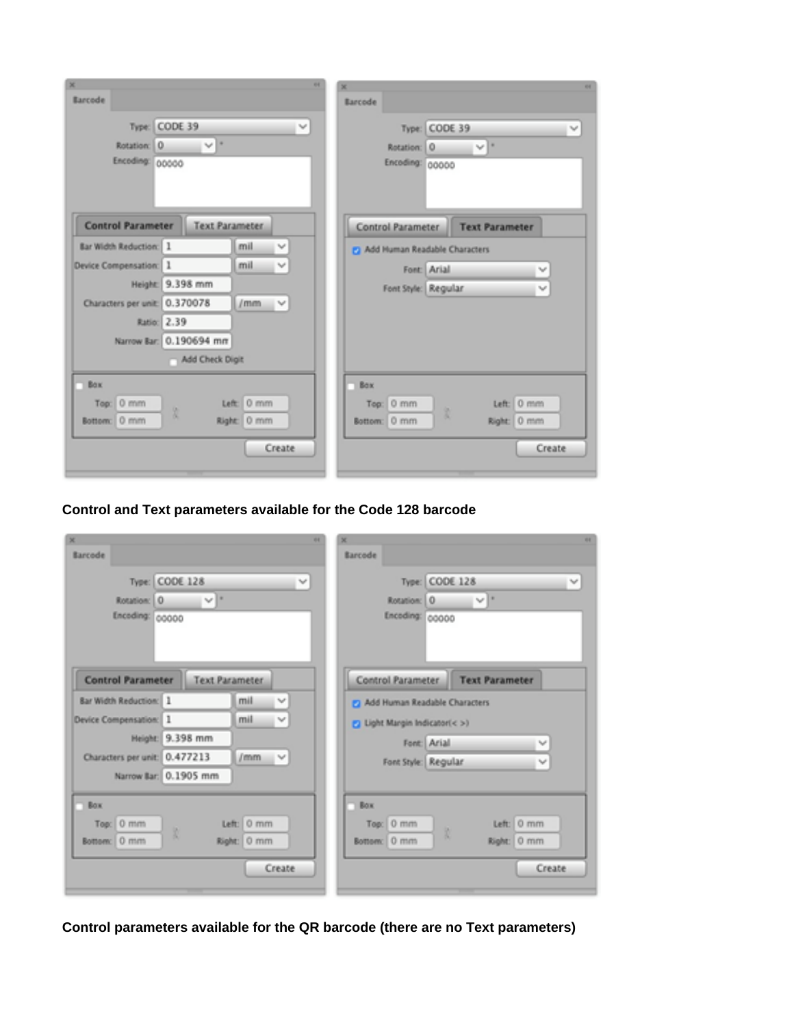| X.<br>Earcode                              |                        |                           | 44                          | SE.<br>Barcode                          | 94                                          |
|--------------------------------------------|------------------------|---------------------------|-----------------------------|-----------------------------------------|---------------------------------------------|
| Type:<br>0<br>Rotation:<br>Encoding: 00000 | CODE 39<br>M.F         |                           | $\lambda_{\rm B} \rho$      | Type.<br>Rotation: 0<br>Encoding: 00000 | <b>CODE 39</b><br>$\eta_{\rm eff}$<br>No. 1 |
| <b>Control Parameter</b>                   | <b>Text Parameter</b>  |                           |                             | Control Parameter                       | <b>Text Parameter</b>                       |
| Bar Width Reduction: 1                     |                        | mil                       | $\mathcal{H}_{\mathcal{G}}$ | [9] Add Human Readable Characters       |                                             |
| Device Compensation: 1                     |                        | mil                       | $\mathcal{M}$               | Font Arial                              | $\mathcal{H}_{\mathcal{C}}$                 |
|                                            | Height: 9.398 mm       |                           |                             | Font Style: Regular                     | $\mathcal{H}_\text{eff}(\theta)$            |
| Characters per unit: 0.370078              |                        | $l$ mm                    | $\mathcal{W}$               |                                         |                                             |
| Ratio:                                     | 2.39                   |                           |                             |                                         |                                             |
|                                            | Namow Bar: 0.190694 mm |                           |                             |                                         |                                             |
|                                            | Add Check Digit        |                           |                             |                                         |                                             |
| <b>Box</b>                                 |                        |                           |                             | Box                                     |                                             |
| 0 mm<br>Top<br>0 mm<br>Bottom:             | B                      | Left: 0 mm<br>Right: 0 mm |                             | $0$ mm<br>Top:<br>Bottom: 0 mm          | Left: 0 mm<br>圜<br>Right: 0 mm              |
|                                            |                        |                           | Create                      |                                         | Create                                      |

**Control and Text parameters available for the Code 128 barcode**

| ×.                                                                           |                                       |             | 44                  | 娅                                    | 44                                            |
|------------------------------------------------------------------------------|---------------------------------------|-------------|---------------------|--------------------------------------|-----------------------------------------------|
| <b>Barcode</b><br>Type:<br>Rotation:<br>IO.                                  | <b>CODE 128</b><br>$\eta_{\rm eff}$ . |             | $\gamma_{\rm eff}$  | Barcode<br>Rotation: 0               | Type: CODE 128<br>$\mathcal{M}$<br>$\sqrt{2}$ |
| Encoding: 00000<br><b>Control Parameter</b><br><b>Bar Width Reduction:</b> 1 | <b>Text Parameter</b>                 | mil         | $\Delta \phi^{\mu}$ | Encoding: 00000<br>Control Parameter | <b>Text Parameter</b>                         |
|                                                                              |                                       |             |                     | 2 Add Human Readable Characters      |                                               |
| Device Compensation: 1                                                       |                                       | mil         | $\eta_{\rm eff}$    | 2 Light Margin Indicator(< >)        |                                               |
|                                                                              | Height: 9.398 mm                      |             |                     |                                      | Font: Arial<br>W                              |
| Characters per unit: 0.477213                                                |                                       | /mm         | $\gamma_{\rm eff}$  |                                      | Font Style: Regular<br>W                      |
|                                                                              | Narrow Bar: 0.1905 mm                 |             |                     |                                      |                                               |
| <b>Box</b>                                                                   |                                       |             |                     | Box                                  |                                               |
| Top: 0 mm                                                                    |                                       | Left: 0 mm  |                     | Top: 0 mm                            | Left: 0 mm                                    |
| Bottom: 0 mm                                                                 |                                       | Kight: 0 mm |                     | Bottom: 0 mm                         | R.<br>Right: 0 mm                             |
|                                                                              |                                       |             | Create              |                                      | Create                                        |
|                                                                              |                                       |             |                     |                                      |                                               |

**Control parameters available for the QR barcode (there are no Text parameters)**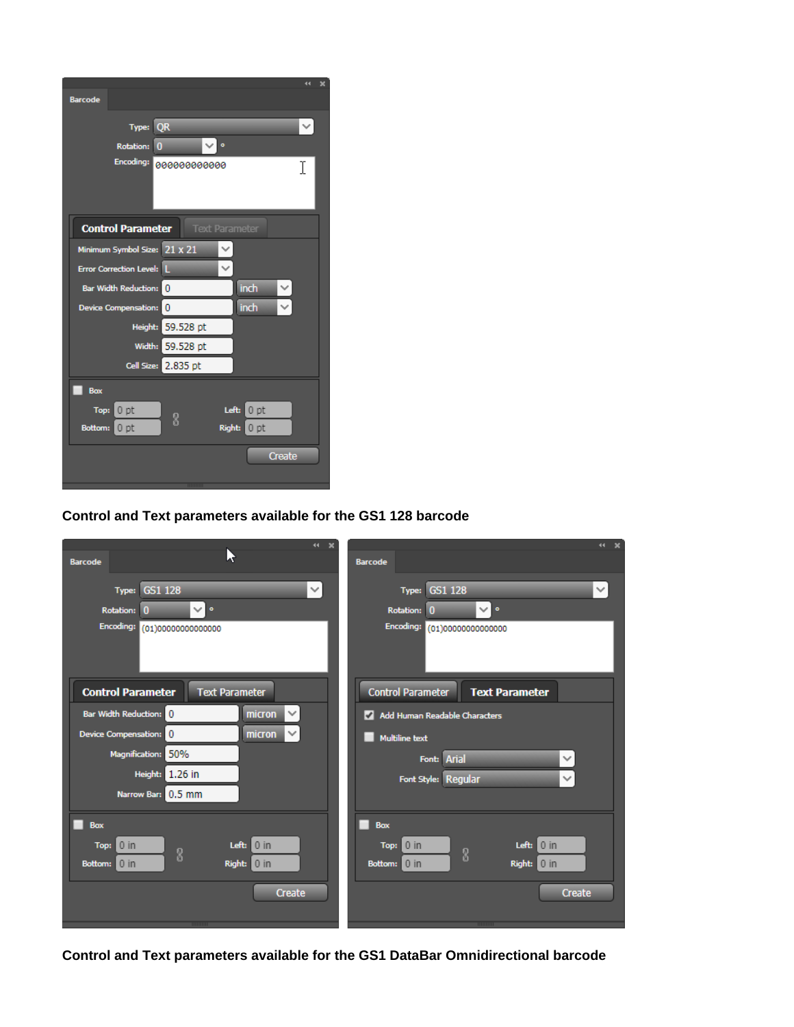| <b>Barcode</b>                                                      |                                                                    |                   |                                                              |        |  |
|---------------------------------------------------------------------|--------------------------------------------------------------------|-------------------|--------------------------------------------------------------|--------|--|
|                                                                     | Type: QR<br>$\overline{0}$<br><b>Rotation:</b><br><b>Encoding:</b> | ◡<br>000000000000 | $\bullet$                                                    | v<br>I |  |
|                                                                     | <b>Control Parameter</b>                                           |                   | <b>Text Parameter</b>                                        |        |  |
|                                                                     | Minimum Symbol Size: 21 x 21                                       |                   |                                                              |        |  |
| Error Correction Level: L                                           |                                                                    |                   |                                                              |        |  |
| Bar Width Reduction: 0<br>Device Compensation: 0                    |                                                                    |                   | inch<br>inch                                                 | ◡<br>◡ |  |
|                                                                     | Height: 59.528 pt                                                  |                   |                                                              |        |  |
|                                                                     | Width: 59.528 pt                                                   |                   |                                                              |        |  |
|                                                                     | Cell Size: 2,835 pt                                                |                   |                                                              |        |  |
| Box<br>Top:<br>0 <sub>pt</sub><br><b>Bottom:</b><br>0 <sub>pt</sub> | 8                                                                  |                   | Left:<br>0 <sub>pt</sub><br><b>Right:</b><br>0 <sub>pt</sub> |        |  |
|                                                                     |                                                                    |                   |                                                              | Create |  |
|                                                                     |                                                                    | 111111111         |                                                              |        |  |

## **Control and Text parameters available for the GS1 128 barcode**

| 44 X                                              | 34 30                                             |
|---------------------------------------------------|---------------------------------------------------|
| Lì<br><b>Barcode</b>                              | <b>Barcode</b>                                    |
| $\checkmark$<br>GS1 128<br>Type:                  | <b>Type: GS1 128</b><br>v                         |
| $\vee$ $\circ$<br>Rotation: 0                     | ◡▮◦<br>Rotation: 0                                |
| <b>Encoding:</b><br>(01)00000000000000            | Encoding: (01)00000000000000                      |
|                                                   |                                                   |
| <b>Control Parameter</b><br><b>Text Parameter</b> | <b>Control Parameter</b><br><b>Text Parameter</b> |
| $\checkmark$<br>Bar Width Reduction: 0<br>micron  | Add Human Readable Characters                     |
| $\checkmark$<br>micron<br>Device Compensation: 0  | <b>Multiline text</b>                             |
| <b>Magnification:</b><br>50%                      | Font: Arial<br>$\checkmark$                       |
| 1.26 in<br>Height:                                | Font Style: Regular<br>$\checkmark$               |
| Narrow Bar: 0.5 mm                                |                                                   |
| <b>Box</b>                                        | <b>Box</b>                                        |
| $\vert$ 0 in<br>$0$ in<br>Left:<br>Top:<br>8      | Left: $0$ in<br>$0$ in<br>Top:<br>8               |
| Right: 0 in<br>$0$ in<br><b>Bottom:</b>           | Right: 0 in<br>$0$ in<br>Bottom:                  |
| <b>Create</b>                                     | Create                                            |
| 000000                                            |                                                   |
|                                                   | 000000                                            |

**Control and Text parameters available for the GS1 DataBar Omnidirectional barcode**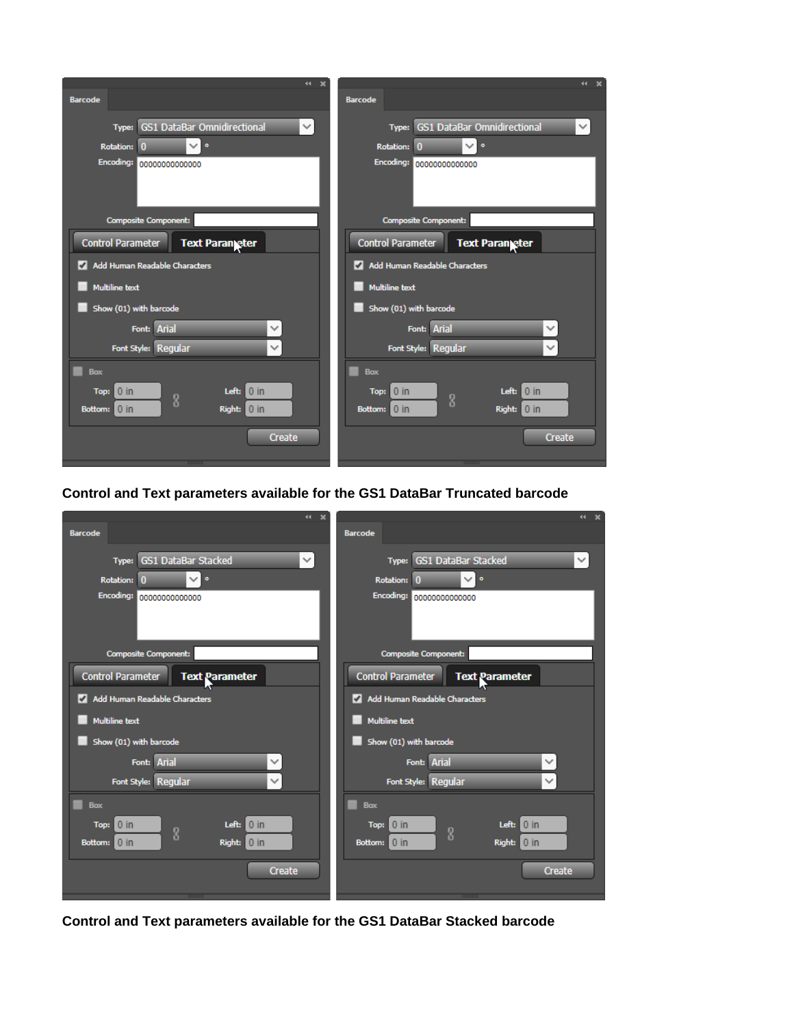| $44 -$<br>$\boldsymbol{\mathsf{x}}$                         | $44 -$                                             |
|-------------------------------------------------------------|----------------------------------------------------|
| <b>Barcode</b>                                              | <b>Barcode</b>                                     |
| <b>GS1 DataBar Omnidirectional</b><br>$\checkmark$<br>Type: | Type: GS1 DataBar Omnidirectional<br>$\checkmark$  |
| ◡∣∘<br><b>Rotation:</b><br>$\Omega$                         | <b>Rotation:</b><br>◡∣∘<br>$\mathbf{0}$            |
| Encoding:<br>00000000000000                                 | Encoding:<br>00000000000000                        |
|                                                             |                                                    |
| <b>Composite Component:</b>                                 | <b>Composite Component:</b>                        |
| <b>Control Parameter</b><br><b>Text Paran eter</b>          | <b>Control Parameter</b><br><b>Text Parangeter</b> |
| Add Human Readable Characters                               | Add Human Readable Characters                      |
| <b>Multiline text</b>                                       | <b>Multiline text</b>                              |
| Show (01) with barcode                                      | Show (01) with barcode                             |
| Font: Arial<br>$\checkmark$                                 | Font: Arial<br>$\checkmark$                        |
| Font Style: Regular<br>$\checkmark$                         | Font Style: Regular<br>$\checkmark$                |
| <b>Box</b>                                                  | <b>Box</b>                                         |
| $0$ in<br>Left:<br>$0$ in<br>Top:                           | Left:<br>$0$ in<br>$0$ in<br>Top:                  |
| 8<br>Right: 0 in<br>Bottom: 0 in                            | 8<br>Right: 0 in<br>Bottom: 0 in                   |
|                                                             |                                                    |
| <b>Create</b>                                               | <b>Create</b>                                      |
|                                                             |                                                    |

**Control and Text parameters available for the GS1 DataBar Truncated barcode**

| 44 X                                                      | 44 X                                              |
|-----------------------------------------------------------|---------------------------------------------------|
| <b>Barcode</b>                                            | <b>Barcode</b>                                    |
| Type: GS1 DataBar Stacked<br>$\checkmark$                 | Type: GS1 DataBar Stacked<br>$\checkmark$         |
| $\bullet$<br><b>Rotation:</b><br>$\checkmark$<br>$\bf{0}$ | ◡∣∘<br><b>Rotation:</b><br>$\mathbf{0}$           |
| <b>Encoding:</b><br>00000000000000                        | <b>Encoding:</b><br>00000000000000                |
| <b>Composite Component:</b>                               | <b>Composite Component:</b>                       |
| <b>Control Parameter</b><br><b>Text Parameter</b>         | <b>Control Parameter</b><br><b>Text Parameter</b> |
| Add Human Readable Characters                             | Add Human Readable Characters                     |
| <b>Multiline text</b>                                     | <b>Multiline text</b>                             |
| Show (01) with barcode                                    | Show (01) with barcode                            |
| Font: Arial<br>$\checkmark$                               | Font: Arial<br>$\checkmark$                       |
| Font Style: Regular<br>$\checkmark$                       | Font Style: Regular<br>$\checkmark$               |
| <b>Box</b>                                                | <b>Box</b>                                        |
| 0 <br>$0$ in<br>Left:<br>Top:<br>8                        | $0$ in<br>$0$ in<br>Left:<br>Top:<br>8            |
| Right: 0 in<br>Bottom: 0 in                               | Right: 0 in<br>Bottom: 0 in                       |
| <b>Create</b>                                             | <b>Create</b>                                     |
| <b>THURSDAY</b>                                           | <b>TITTING</b>                                    |

**Control and Text parameters available for the GS1 DataBar Stacked barcode**